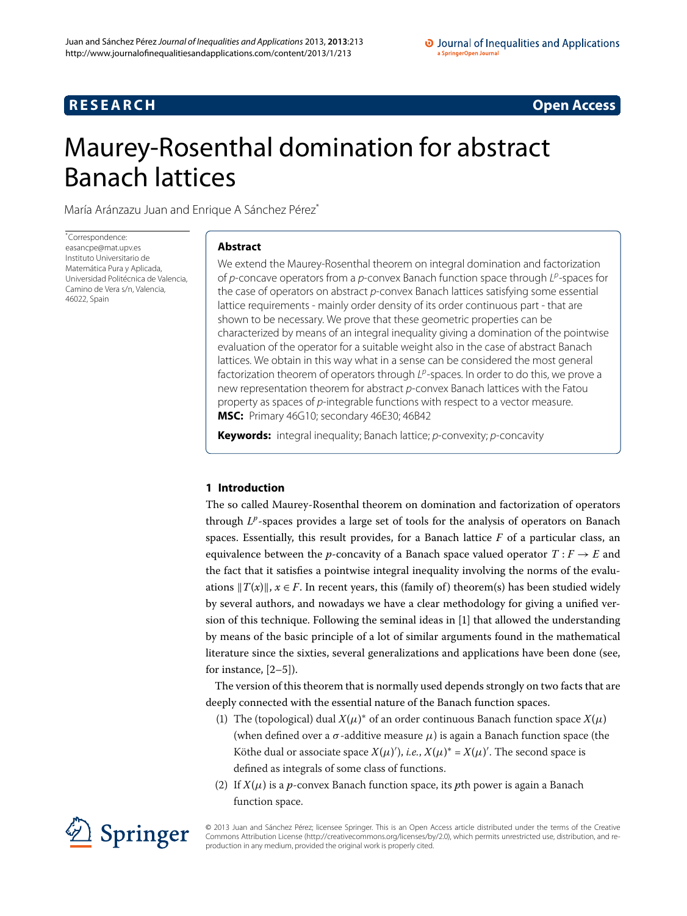## **RESEARCH CONSTRUCTED ACCESS**

# <span id="page-0-0"></span>Maurey-Rosenthal domination for abstract Banach lattices

María Aránzazu Juan and Enrique A Sánchez Pére[z\\*](#page-0-0)

\* Correspondence: [easancpe@mat.upv.es](mailto:easancpe@mat.upv.es) Instituto Universitario de Matemática Pura y Aplicada, Universidad Politécnica de Valencia, Camino de Vera s/n, Valencia, 46022, Spain

### **Abstract**

We extend the Maurey-Rosenthal theorem on integral domination and factorization of p-concave operators from a p-convex Banach function space through  $L^p$ -spaces for the case of operators on abstract  $p$ -convex Banach lattices satisfying some essential lattice requirements - mainly order density of its order continuous part - that are shown to be necessary. We prove that these geometric properties can be characterized by means of an integral inequality giving a domination of the pointwise evaluation of the operator for a suitable weight also in the case of abstract Banach lattices. We obtain in this way what in a sense can be considered the most general factorization theorem of operators through  $L^p$ -spaces. In order to do this, we prove a new representation theorem for abstract p-convex Banach lattices with the Fatou property as spaces of p-integrable functions with respect to a vector measure. **MSC:** Primary 46G10; secondary 46E30; 46B42

**Keywords:** integral inequality; Banach lattice; *p*-convexity; *p*-concavity

### **1 Introduction**

The so called Maurey-Rosenthal theorem on domination and factorization of operators through *L<sup>p</sup>*-spaces provides a large set of tools for the analysis of operators on Banach spaces. Essentially, this result provides, for a Banach lattice  $F$  of a particular class, an equivalence between the *p*-concavity of a Banach space valued operator  $T: F \rightarrow E$  and the fact that it satisfies a pointwise integral inequality involving the norms of the evaluations  $||T(x)||$ ,  $x \in F$ . In recent years, this (family of) theorem(s) has been studied widely by several authors, and nowadays we have a clear methodology for giving a unified version of this technique. Following the seminal ideas in [[\]](#page-11-0) that allowed the understanding by means of the basic principle of a lot of similar arguments found in the mathematical literature since the sixties, several generalizations and applications have been done (see, for instance,  $[2-5]$  $[2-5]$ ).

The version of this theorem that is normally used depends strongly on two facts that are deeply connected with the essential nature of the Banach function spaces.

- (1) The (topological) dual  $X(\mu)^*$  of an order continuous Banach function space  $X(\mu)$ (when defined over a  $\sigma$ -additive measure  $\mu$ ) is again a Banach function space (the Köthe dual or associate space  $X(\mu)'$ , *i.e.*,  $X(\mu)^* = X(\mu)'$ . The second space is defined as integrals of some class of functions.
- (2) If  $X(\mu)$  is a *p*-convex Banach function space, its *p*th power is again a Banach function space.



© 2013 Juan and Sánchez Pérez; licensee Springer. This is an Open Access article distributed under the terms of the Creative Commons Attribution License (<http://creativecommons.org/licenses/by/2.0>), which permits unrestricted use, distribution, and reproduction in any medium, provided the original work is properly cited.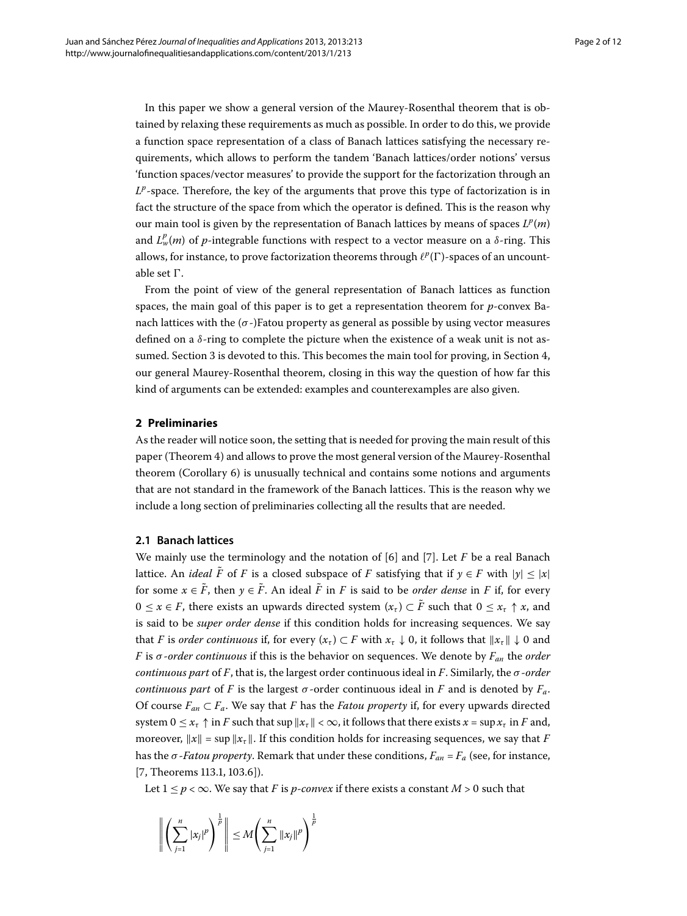In this paper we show a general version of the Maurey-Rosenthal theorem that is obtained by relaxing these requirements as much as possible. In order to do this, we provide a function space representation of a class of Banach lattices satisfying the necessary requirements, which allows to perform the tandem 'Banach lattices/order notions' versus 'function spaces/vector measures' to provide the support for the factorization through an  $L^p$ -space. Therefore, the key of the arguments that prove this type of factorization is in fact the structure of the space from which the operator is defined. This is the reason why our main tool is given by the representation of Banach lattices by means of spaces  $L^p(m)$ and  $L^p_w(m)$  of  $p$ -integrable functions with respect to a vector measure on a  $\delta$ -ring. This allows, for instance, to prove factorization theorems through  $\ell^p(\Gamma)$ -spaces of an uncountable set  $\Gamma$ .

From the point of view of the general representation of Banach lattices as function spaces, the main goal of this paper is to get a representation theorem for *p*-convex Banach lattices with the  $(\sigma)$ -)Fatou property as general as possible by using vector measures defined on a *δ*-ring to complete the picture when the existence of a weak unit is not as-sumed. Section 3 is devoted to this. This becomes the main tool for proving[,](#page-6-0) in Section 4, our general Maurey-Rosenthal theorem, closing in this way the question of how far this kind of arguments can be extended: examples and counterexamples are also given.

#### **2 Preliminaries**

As the reader will notice soon, the setting that is needed for proving the main result of this paper (Theorem 4) and allows to prove the most general version of the Maurey-Rosenthal theorem (Corollary  $6$ ) is unusually technical and contains some notions and arguments that are not standard in the framework of the Banach lattices. This is the reason why we include a long section of preliminaries collecting all the results that are needed.

#### **2.1 Banach lattices**

We mainly use the terminology and the notation of  $[6]$  $[6]$  and  $[7]$ . Let *F* be a real Banach lattice. An *ideal*  $\tilde{F}$  of *F* is a closed subspace of *F* satisfying that if  $\gamma \in F$  with  $|\gamma| < |\chi|$ for some  $x \in \tilde{F}$ , then  $y \in \tilde{F}$ . An ideal  $\tilde{F}$  in *F* is said to be *order dense* in *F* if, for every  $0 \le x \in F$ , there exists an upwards directed system  $(x) \subset \tilde{F}$  such that  $0 \le x_{\tau} \uparrow x$ , and is said to be *super order dense* if this condition holds for increasing sequences. We say that *F* is *order continuous* if, for every  $(x_\tau) \subset F$  with  $x_\tau \downarrow 0$ , it follows that  $||x_\tau|| \downarrow 0$  and *F* is *σ* -*order continuous* if this is the behavior on sequences. We denote by *Fan* the *order continuous part* of *F*, that is, the largest order continuous ideal in *F*. Similarly, the *σ* -*order continuous part* of *F* is the largest  $\sigma$ -order continuous ideal in *F* and is denoted by  $F_a$ . Of course  $F_{an} \subset F_a$ . We say that *F* has the *Fatou property* if, for every upwards directed system  $0 \le x_{\tau} \uparrow$  in *F* such that sup  $|x_{\tau}| < \infty$ , it follows that there exists  $x = \sup x_{\tau}$  in *F* and, moreover,  $||x|| = \sup ||x_r||$ . If this condition holds for increasing sequences, we say that *F* has the  $\sigma$ -*Fatou property*. Remark that under these conditions,  $F_{an} = F_a$  (see, for instance,  $[7, Theorems 113.1, 103.6].$  $[7, Theorems 113.1, 103.6].$  $[7, Theorems 113.1, 103.6].$ 

Let  $1 \le p < \infty$ . We say that *F* is *p*-*convex* if there exists a constant *M* > 0 such that

$$
\left\| \left( \sum_{j=1}^n |x_j|^p \right)^{\frac{1}{p}} \right\| \le M \left( \sum_{j=1}^n \|x_j\|^p \right)^{\frac{1}{p}}
$$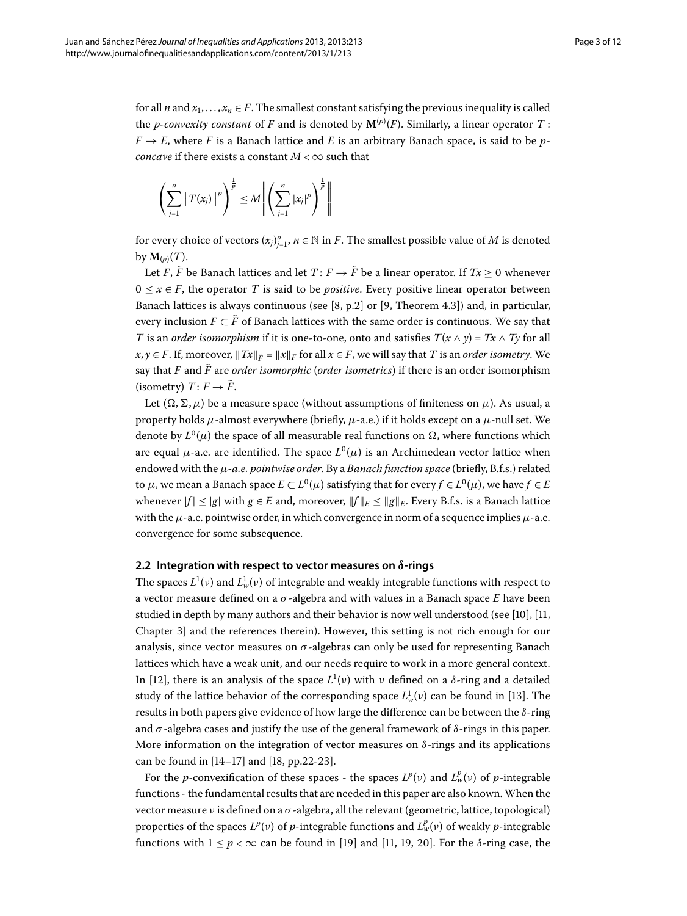for all *n* and  $x_1, \ldots, x_n \in F$ . The smallest constant satisfying the previous inequality is called the *p-convexity constant* of  $F$  and is denoted by  $\mathbf{M}^{(p)}(F).$  Similarly, a linear operator  $T$  :  $F \rightarrow E$ , where *F* is a Banach lattice and *E* is an arbitrary Banach space, is said to be *pconcave* if there exists a constant  $M < \infty$  such that

$$
\left(\sum_{j=1}^n \|T(x_j)\|^p\right)^{\frac{1}{p}} \leq M \left\|\left(\sum_{j=1}^n |x_j|^p\right)^{\frac{1}{p}}\right\|
$$

for every choice of vectors  $(x_j)_{j=1}^n$ ,  $n \in \mathbb{N}$  in *F*. The smallest possible value of *M* is denoted by  $\mathbf{M}_{(p)}(T)$ .

Let *F*,  $\tilde{F}$  be Banach lattices and let  $T: F \to \tilde{F}$  be a linear operator. If  $Tx \geq 0$  whenever  $0 \le x \in F$ , the operator *T* is said to be *positive*. Every positive linear operator between Banach lattices is always continuous (see [\[](#page-11-5)8, p.2] or [9, Theorem 4.3]) and, in particular, every inclusion  $F \subset \tilde{F}$  of Banach lattices with the same order is continuous. We say that *T* is an *order isomorphism* if it is one-to-one, onto and satisfies  $T(x \wedge y) = Tx \wedge Ty$  for all  $x, y \in F$ . If, moreover,  $||Tx||_{\tilde{F}} = ||x||_F$  for all  $x \in F$ , we will say that *T* is an *order isometry*. We say that *F* and *F*˜ are *order isomorphic* (*order isometrics*) if there is an order isomorphism (isometry)  $T: F \to \tilde{F}$ .

Let  $(\Omega, \Sigma, \mu)$  be a measure space (without assumptions of finiteness on  $\mu$ ). As usual, a property holds *μ*-almost everywhere (briefly, *μ*-a.e.) if it holds except on a *μ*-null set. We denote by  $L^0(\mu)$  the space of all measurable real functions on  $\Omega$ , where functions which are equal  $\mu$ -a.e. are identified. The space  $L^0(\mu)$  is an Archimedean vector lattice when endowed with the *μ-a.e. pointwise order*. By a *Banach function space* (briefly, B.f.s.) related to *μ*, we mean a Banach space  $E \subset L^0(\mu)$  satisfying that for every  $f \in L^0(\mu)$ , we have  $f \in E$ whenever  $|f| \le |g|$  with  $g \in E$  and, moreover,  $||f||_E \le ||g||_E$ . Every B.f.s. is a Banach lattice with the *μ*-a.e. pointwise order, in which convergence in norm of a sequence implies *μ*-a.e. convergence for some subsequence.

#### **2.2 Integration with respect to vector measures on** *δ***-rings**

The spaces  $L^1(v)$  and  $L^1_w(v)$  of integrable and weakly integrable functions with respect to a vector measure defined on a *σ* -algebra and with values in a Banach space *E* have been studied in depth by many authors and their behavior is now well understood (see [\[](#page-11-7)10], [11, Chapter 3] and the references therein). However, this setting is not rich enough for our analysis, since vector measures on  $\sigma$ -algebras can only be used for representing Banach lattices which have a weak unit, and our needs require to work in a more general context. In [12], there is an analysis of the space  $L^1(v)$  with  $v$  defined on a  $\delta$ -ring and a detailed study of the lattice behavior of the corresponding space  $L^1_w(v)$  can be found in [13[\]](#page-11-10). The results in both papers give evidence of how large the difference can be between the *δ*-ring and  $\sigma$ -algebra cases and justify the use of the general framework of  $\delta$ -rings in this paper. More information on the integration of vector measures on *δ*-rings and its applications can be found in  $[14–17]$  $[14–17]$  and  $[18, pp.22-23]$ .

For the *p*-convexification of these spaces - the spaces  $L^p(v)$  and  $L^p_w(v)$  of *p*-integrable functions - the fundamental results that are needed in this paper are also known.When the vector measure *ν* is defined on a *σ* -algebra, all the relevant (geometric, lattice, topological) properties of the spaces  $L^p(\nu)$  of  $p$ -integrable functions and  $L^p_\nu(\nu)$  of weakly  $p$ -integrable functions with  $1 \le p < \infty$  can be found in [\[](#page-11-8)19] and [11[,](#page-11-14) 19, 20]. For the *δ*-ring case, the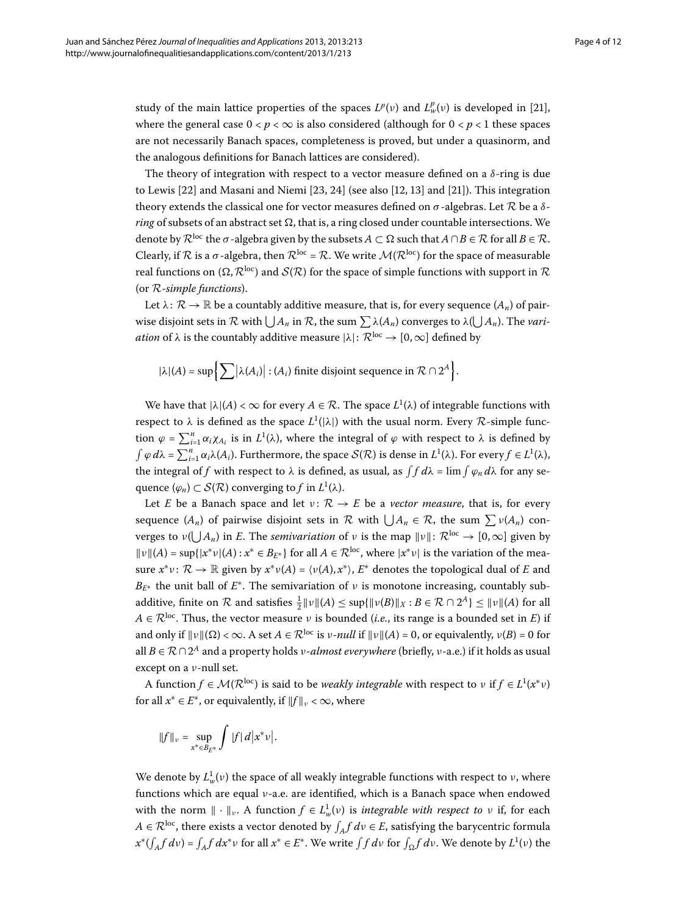study of the main lattice properties of the spaces  $L^p(\nu)$  and  $L^p_w(\nu)$  is developed in [21[\]](#page-11-16), where the general case  $0 < p < \infty$  is also considered (although for  $0 < p < 1$  these spaces are not necessarily Banach spaces, completeness is proved, but under a quasinorm, and the analogous definitions for Banach lattices are considered).

The theory of integration with respect to a vector measure defined on a  $\delta$ -ring is due to Lewis  $[22]$  $[22]$  and Masani and Niemi  $[23, 24]$  $[23, 24]$  $[23, 24]$  (see also  $[12, 13]$  $[12, 13]$  and  $[21]$ ). This integration theory extends the classical one for vector measures defined on *σ* -algebras. Let R be a *δring* of subsets of an abstract set  $\Omega$ , that is, a ring closed under countable intersections. We denote by  $\mathcal{R}^{\text{loc}}$  the  $\sigma$ -algebra given by the subsets  $A \subset \Omega$  such that  $A \cap B \in \mathcal{R}$  for all  $B \in \mathcal{R}$ . Clearly, if R is a  $\sigma$ -algebra, then  $\mathcal{R}^{\text{loc}} = \mathcal{R}$ . We write  $\mathcal{M}(\mathcal{R}^{\text{loc}})$  for the space of measurable real functions on  $(\Omega, \mathcal{R}^{loc})$  and  $\mathcal{S}(\mathcal{R})$  for the space of simple functions with support in  $\mathcal R$ (or R-*simple functions*).

Let  $\lambda: \mathcal{R} \to \mathbb{R}$  be a countably additive measure, that is, for every sequence  $(A_n)$  of pairwise disjoint sets in  $\mathcal R$  with  $\bigcup A_n$  in  $\mathcal R$ , the sum  $\sum \lambda(A_n)$  converges to  $\lambda(\bigcup A_n)$ . The *variation* of  $\lambda$  is the countably additive measure  $|\lambda|: \mathcal{R}^{\text{loc}} \to [0, \infty]$  defined by

$$
|\lambda|(A) = \sup \Biggl\{ \sum |\lambda(A_i)| : (A_i) \text{ finite disjoint sequence in } \mathcal{R} \cap 2^A \Biggr\}.
$$

We have that  $|\lambda|(A) < \infty$  for every  $A \in \mathcal{R}$ . The space  $L^1(\lambda)$  of integrable functions with respect to  $\lambda$  is defined as the space  $L^1(|\lambda|)$  with the usual norm. Every  $\mathcal R$ -simple function  $\varphi = \sum_{i=1}^n \alpha_i \chi_{A_i}$  is in  $L^1(\lambda)$ , where the integral of  $\varphi$  with respect to  $\lambda$  is defined by  $\int \varphi d\lambda = \sum_{i=1}^n \alpha_i \lambda(A_i)$ . Furthermore, the space  $\mathcal{S}(\mathcal{R})$  is dense in  $L^1(\lambda)$ . For every  $f \in L^1(\lambda)$ , the integral of  $f$  with respect to  $\lambda$  is defined, as usual, as  $\int f \, d\lambda = \lim \int \varphi_n \, d\lambda$  for any sequence  $(\varphi_n) \subset \mathcal{S}(\mathcal{R})$  converging to f in  $L^1(\lambda)$ .

Let *E* be a Banach space and let  $v: \mathcal{R} \to E$  be a *vector measure*, that is, for every sequence  $(A_n)$  of pairwise disjoint sets in  $\mathcal R$  with  $\bigcup A_n \in \mathcal R$ , the sum  $\sum v(A_n)$  con- $\nu$  verges to  $ν(∪)A_n$ ) in *E*. The *semivariation* of  $ν$  is the map  $∥ν∥: ℝ<sup>loc</sup> → [0, ∞]$  given by  $||v||(A) = \sup\{|x^*v|(A) : x^* \in B_{E^*}\}\$  for all  $A \in \mathcal{R}^{\text{loc}}$ , where  $|x^*v|$  is the variation of the measure  $x^*v$ :  $\mathcal{R} \to \mathbb{R}$  given by  $x^*v(A) = \langle v(A), x^* \rangle$ ,  $E^*$  denotes the topological dual of *E* and  $B_{F^*}$  the unit ball of  $E^*$ . The semivariation of *ν* is monotone increasing, countably subadditive, finite on  $R$  and satisfies  $\frac{1}{2} ||v||(A) \leq \sup{ {||v(B)||_X : B \in R \cap 2^A}} \leq ||v||(A)$  for all  $A \in \mathcal{R}^{\text{loc}}$ . Thus, the vector measure *ν* is bounded (*i.e.*, its range is a bounded set in *E*) if and only if  $\|\nu\|(\Omega) < \infty$ . A set  $A \in \mathbb{R}^{\text{loc}}$  is *ν-null* if  $\|\nu\|(A) = 0$ , or equivalently,  $\nu(B) = 0$  for all *<sup>B</sup>* <sup>∈</sup> R <sup>∩</sup>*<sup>A</sup>* and a property holds *<sup>ν</sup>-almost everywhere* (briefly, *<sup>ν</sup>*-a.e.) if it holds as usual except on a *ν*-null set.

A function  $f \in \mathcal{M}(\mathcal{R}^{\text{loc}})$  is said to be *weakly integrable* with respect to  $v$  if  $f \in L^1(x^*v)$ for all  $x^* \in E^*$ , or equivalently, if  $||f||_v < \infty$ , where

$$
||f||_{\nu} = \sup_{x^* \in B_{E^*}} \int |f| \, d|x^* \nu|.
$$

We denote by  $L^1_w(v)$  the space of all weakly integrable functions with respect to *ν*, where functions which are equal *ν*-a.e. are identified, which is a Banach space when endowed with the norm  $\|\cdot\|_{\nu}$ . A function  $f \in L^1_w(\nu)$  is *integrable with respect to*  $\nu$  if, for each  $A \in \mathcal{R}^{\text{loc}}$ , there exists a vector denoted by  $\int_A f \, d\nu \in E$ , satisfying the barycentric formula  $x^*(\int_A f \, dv) = \int_A f \, dx^* v$  for all  $x^* \in E^*$ . We write  $\int f \, dv$  for  $\int_{\Omega} f \, dv$ . We denote by  $L^1(v)$  the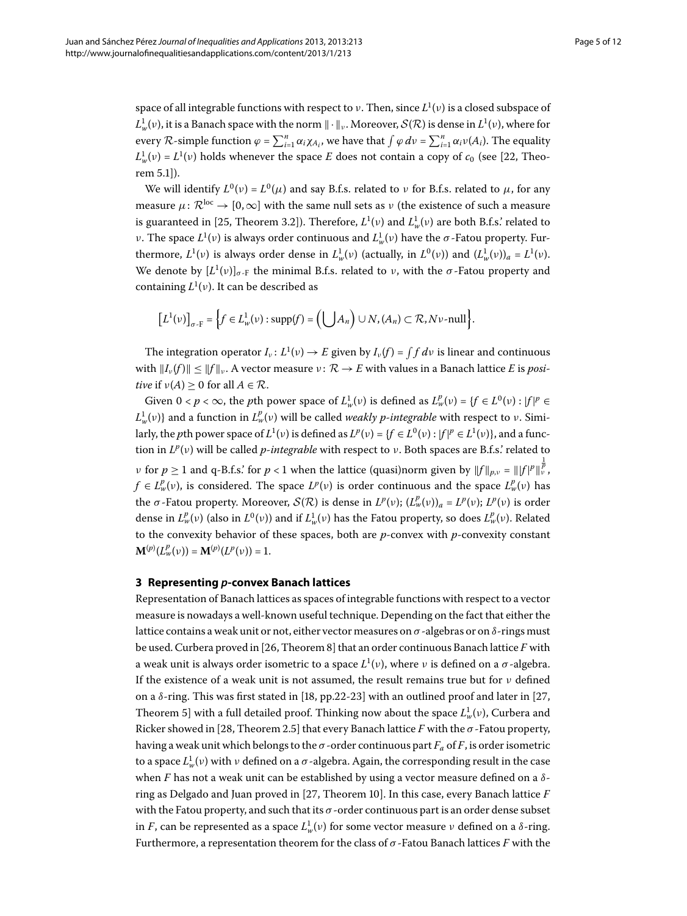space of all integrable functions with respect to *ν*. Then, since *L* (*ν*) is a closed subspace of  $L^1_w(v)$ , it is a Banach space with the norm  $\|\cdot\|_v$ . Moreover,  $\mathcal{S}(\mathcal{R})$  is dense in  $L^1(v)$ , where for every  $R$ -simple function  $\varphi = \sum_{i=1}^{n} \alpha_i \chi_{A_i}$ , we have that  $\int \varphi \, dv = \sum_{i=1}^{n} \alpha_i v(A_i)$ . The equality  $L^1_w(v) = L^1(v)$  holds whenever the space *E* does not contain a copy of  $c_0$  (see [22, Theorem 5.1]).

We will identify  $L^0(v) = L^0(\mu)$  and say B.f.s. related to *v* for B.f.s. related to  $\mu$ , for any measure  $\mu: \mathcal{R}^{\text{loc}} \to [0,\infty]$  with the same null sets as *ν* (the existence of such a measure is guaranteed in [25[,](#page-11-20) Theorem 3.2]). Therefore,  $L^1(v)$  and  $L^1_w(v)$  are both B.f.s.' related to *ν*. The space  $L^1(v)$  is always order continuous and  $L^1_w(v)$  have the *σ*-Fatou property. Furthermore,  $L^1(v)$  is always order dense in  $L^1_w(v)$  (actually, in  $L^0(v)$ ) and  $(L^1_w(v))_a = L^1(v)$ . We denote by  $[L^1(v)]_{\sigma \text{-}F}$  the minimal B.f.s. related to *ν*, with the  $\sigma$ -Fatou property and containing *L* (*ν*). It can be described as

$$
\big[L^1(\nu)\big]_{\sigma\text{-F}}=\bigg\{f\in L^1_w(\nu):\text{supp}(f)=\bigg(\bigcup A_n\bigg)\cup N, (A_n)\subset \mathcal{R}, N\nu\text{-null}\bigg\}.
$$

The integration operator  $I_\nu\colon L^1(\nu)\to E$  given by  $I_\nu(f)=\int f\,d\nu$  is linear and continuous with  $||I_{\nu}(f)|| \le ||f||_{\nu}$ . A vector measure  $\nu: \mathcal{R} \to E$  with values in a Banach lattice *E* is *positive* if  $\nu(A) > 0$  for all  $A \in \mathcal{R}$ .

<span id="page-4-0"></span>Given  $0 < p < \infty$ , the *p*th power space of  $L^1_w(v)$  is defined as  $L^p_w(v) = \{f \in L^0(v) : |f|^p \in L^p(v)\}$  $L_w^1(v)$ } and a function in  $L_w^p(v)$  will be called *weakly p-integrable* with respect to *ν*. Similarly, the *p*th power space of  $L^1(v)$  is defined as  $L^p(v) = \{f \in L^0(v) : |f|^p \in L^1(v)\}$ , and a function in *L<sup>p</sup>*(*ν*) will be called *p*-*integrable* with respect to *ν*. Both spaces are B.f.s.' related to *ν* for  $p \geq 1$  and q-B.f.s.' for  $p < 1$  when the lattice (quasi)norm given by  $\|f\|_{p,\nu} = \|f|^p\|_p^{\frac{1}{p}}$ ,  $f \in L^p_w(\nu)$ , is considered. The space  $L^p(\nu)$  is order continuous and the space  $L^p_w(\nu)$  has the *σ*-Fatou property. Moreover,  $S(\mathcal{R})$  is dense in  $L^p(\nu)$ ;  $(L^p_w(\nu))_a = L^p(\nu)$ ;  $L^p(\nu)$  is order dense in  $L^p_w(v)$  (also in  $L^0(v)$ ) and if  $L^1_w(v)$  has the Fatou property, so does  $L^p_w(v)$ . Related to the convexity behavior of these spaces, both are *p*-convex with *p*-convexity constant  $\mathbf{M}^{(p)}(L^p_w(v)) = \mathbf{M}^{(p)}(L^p(v)) = 1.$ 

#### **3 Representing** *p***-convex Banach lattices**

Representation of Banach lattices as spaces of integrable functions with respect to a vector measure is nowadays a well-known useful technique. Depending on the fact that either the lattice contains a weak unit or not, either vector measures on *σ* -algebras or on *δ*-rings must be used. Curbera proved in [26, Theorem 8] that an order continuous Banach lattice *F* with a weak unit is always order isometric to a space *L* (*ν*), where *ν* is defined on a *σ* -algebra. If the existence of a weak unit is not assumed, the result remains true but for *ν* defined on a  $\delta$ -ring. This was first stated in [18[,](#page-11-22) pp.22-23] with an outlined proof and later in [27, Theorem 5] with a full detailed proof. Thinking now about the space  $L^1_w(v)$ , Curbera and Ricker showed in [\[](#page-11-23)28, Theorem 2.5] that every Banach lattice *F* with the  $\sigma$ -Fatou property, having a weak unit which belongs to the  $\sigma$ -order continuous part  $F_a$  of  $F$ , is order isometric to a space  $L^1_w(\nu)$  with  $\nu$  defined on a  $\sigma$  -algebra. Again, the corresponding result in the case when *F* has not a weak unit can be established by using a vector measure defined on a *δ*ring as Delgado and Juan proved in [27, Theorem 10]. In this case, every Banach lattice *F* with the Fatou property, and such that its  $\sigma$ -order continuous part is an order dense subset in *F*, can be represented as a space  $L^1_w(v)$  for some vector measure *ν* defined on a *δ*-ring. Furthermore, a representation theorem for the class of *σ* -Fatou Banach lattices *F* with the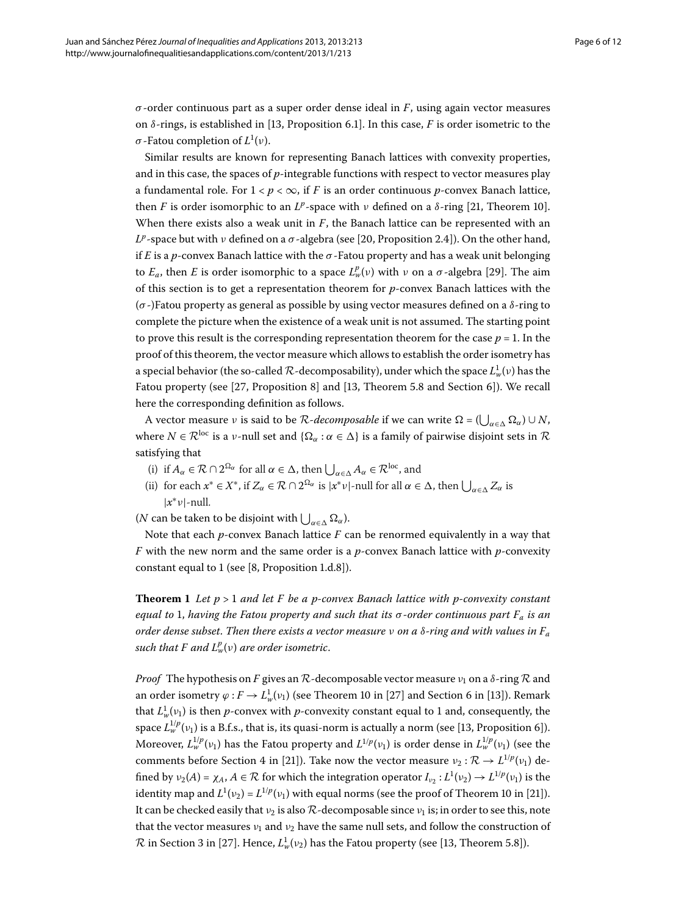*σ* -order continuous part as a super order dense ideal in *F*, using again vector measures on  $\delta$ -rings, is established in [\[](#page-11-10)13, Proposition 6.1]. In this case, *F* is order isometric to the *σ* -Fatou completion of *L* (*ν*).

Similar results are known for representing Banach lattices with convexity properties, and in this case, the spaces of *p*-integrable functions with respect to vector measures play a fundamental role. For  $1 < p < \infty$ , if *F* is an order continuous *p*-convex Banach lattice, then *F* is order isomorphic to an  $L^p$ -space with  $\nu$  defined on a  $\delta$ -ring [21[,](#page-11-16) Theorem 10]. When there exists also a weak unit in *F*, the Banach lattice can be represented with an  $L^p$ -space but with *ν* defined on a *σ*-algebra (see [20, Proposition 2.4]). On the other hand, if *E* is a *p*-convex Banach lattice with the  $\sigma$ -Fatou property and has a weak unit belonging to  $E_a$ , then  $E$  is order isomorphic to a space  $L^p_w(v)$  with  $v$  on a  $\sigma$ -algebra [\[](#page-11-24)29]. The aim of this section is to get a representation theorem for *p*-convex Banach lattices with the (*σ* -)Fatou property as general as possible by using vector measures defined on a *δ*-ring to complete the picture when the existence of a weak unit is not assumed. The starting point to prove this result is the corresponding representation theorem for the case  $p = 1$ . In the proof of this theorem, the vector measure which allows to establish the order isometry has a special behavior (the so-called  $\mathcal{R}$ -decomposability), under which the space  $L^1_w(v)$  has the Fatou property (see  $[27,$  $[27,$  Proposition 8] and  $[13,$  Theorem 5.8 and Section 6]). We recall here the corresponding definition as follows.

A vector measure *ν* is said to be  $R$ -decomposable if we can write  $\Omega = (\bigcup_{\alpha \in \Delta} \Omega_{\alpha}) \cup N$ , where  $N \in \mathcal{R}^{loc}$  is a *v*-null set and  $\{\Omega_{\alpha} : \alpha \in \Delta\}$  is a family of pairwise disjoint sets in  $\mathcal R$ satisfying that

- (i) if  $A_{\alpha} \in \mathcal{R} \cap 2^{\Omega_{\alpha}}$  for all  $\alpha \in \Delta$ , then  $\bigcup_{\alpha \in \Delta} A_{\alpha} \in \mathcal{R}^{\text{loc}}$ , and
- <span id="page-5-0"></span>(ii) for each  $x^* \in X^*$ , if  $Z_\alpha \in \mathcal{R} \cap 2^{\Omega_\alpha}$  is  $|x^* \nu|$ -null for all  $\alpha \in \Delta$ , then  $\bigcup_{\alpha \in \Delta} Z_\alpha$  is |*x*<sup>∗</sup>*ν*|-null.

(*N* can be taken to be disjoint with  $\bigcup_{\alpha \in \Delta} \Omega_{\alpha}$ ).

Note that each *p*-convex Banach lattice *F* can be renormed equivalently in a way that *F* with the new norm and the same order is a *p*-convex Banach lattice with *p*-convexity constant equal to  $1$  (see [\[](#page-11-5)8, Proposition 1.d.8]).

**Theorem 1** Let  $p > 1$  and let  $F$  be a p-convex Banach lattice with p-convexity constant *equal to* , *having the Fatou property and such that its σ -order continuous part Fa is an order dense subset*. *Then there exists a vector measure ν on a δ-ring and with values in Fa*  $\mathit{such}\;$  that  $F$  and  $L^p_w(\nu)$  are order isometric.

*Proof* The hypothesis on *F* gives an  $\mathcal{R}$ -decomposable vector measure  $v_1$  on a  $\delta$ -ring  $\mathcal{R}$  and an order isometry  $\varphi : F \to L^1_w(\nu_1)$  (see Theorem 10 in [27[\]](#page-11-22) and Section 6 in [13]). Remark that  $L^1_w(v_1)$  is then *p*-convex with *p*-convexity constant equal to 1 and, consequently, the space  $L^{1/p}_w(v_1)$  is a B.f.s.[,](#page-11-10) that is, its quasi-norm is actually a norm (see [13, Proposition 6]). Moreover,  $L_w^{1/p}(v_1)$  has the Fatou property and  $L^{1/p}(v_1)$  is order dense in  $L_w^{1/p}(v_1)$  (see the comments before Section 4 in [21]). Take now the vector measure  $v_2 : \mathcal{R} \to L^{1/p}(v_1)$  defined by  $v_2(A) = \chi_A$ ,  $A \in \mathcal{R}$  for which the integration operator  $I_{v_2}: L^1(v_2) \to L^{1/p}(v_1)$  is the identity map and  $L^1(v_2) = L^{1/p}(v_1)$  with equal norms (see the proof of Theorem 10 in [21[\]](#page-11-16)). It can be checked easily that  $v_2$  is also  $\mathcal{R}$ -decomposable since  $v_1$  is; in order to see this, note that the vector measures  $v_1$  and  $v_2$  have the same null sets, and follow the construction of  $\mathcal{R}$  in Section 3 in [27]. Hence[,](#page-11-10)  $L^1_w(v_2)$  has the Fatou property (see [13, Theorem 5.8]).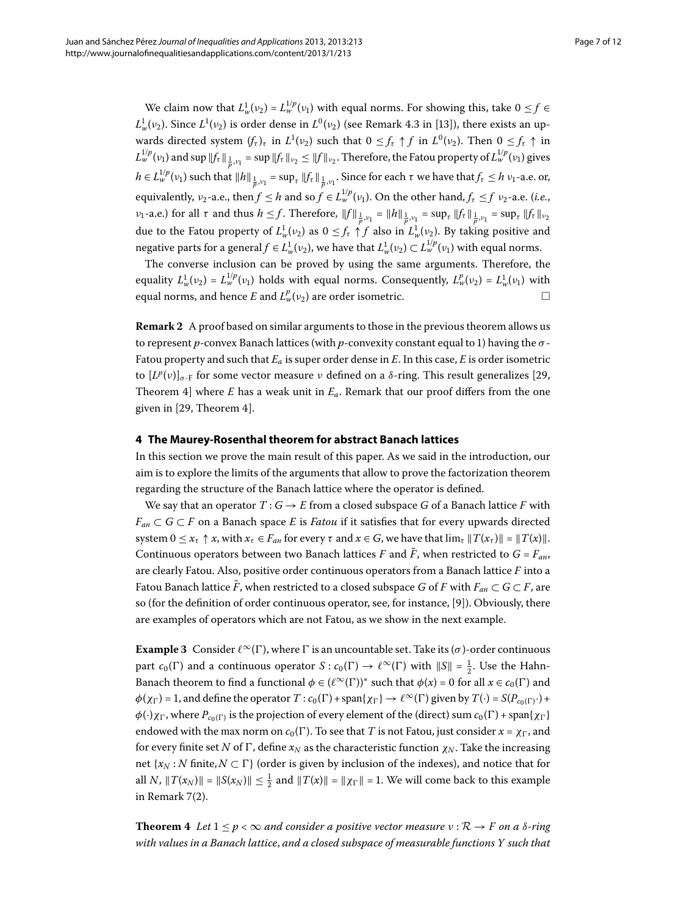We claim now that  $L^1_w(v_2) = L^{1/p}_w(v_1)$  with equal norms. For showing this, take  $0 \le f \in$  $L^1_w(\nu_2)$ . Since  $L^1(\nu_2)$  is order dense in  $L^0(\nu_2)$  (see Remark 4.3 in [13[\]](#page-11-10)), there exists an upwards directed system  $(f_\tau)_\tau$  in  $L^1(\nu_2)$  such that  $0 \leq f_\tau \uparrow f$  in  $L^0(\nu_2)$ . Then  $0 \leq f_\tau \uparrow$  in  $L^{1/p}_w(v_1)$  and  $\sup$   $||f_\tau||_{\frac{1}{p},v_1}$  =  $\sup$   $||f_\tau||_{v_2} \le ||f||_{v_2}.$  Therefore, the Fatou property of  $L^{1/p}_w(v_1)$  gives  $h \in L_w^{1/p}(v_1)$  such that  $\|h\|_{\frac{1}{p}, v_1} = \sup_{\tau} \|f_{\tau}\|_{\frac{1}{p}, v_1}$ . Since for each  $\tau$  we have that  $f_{\tau} \leq h v_1$ -a.e. or, equivalently,  $v_2$ -a.e., then  $f \leq h$  and so  $f \in L_w^{1/p}(v_1)$ . On the other hand,  $f_\tau \leq f$   $v_2$ -a.e. (*i.e.*,  $\nu_1$ -a.e.) for all  $\tau$  and thus  $h \le f$ . Therefore,  $||f||_{\frac{1}{p},\nu_1} = ||h||_{\frac{1}{p},\nu_1} = \sup_{\tau} ||f_{\tau}||_{\frac{1}{p},\nu_1} = \sup_{\tau} ||f_{\tau}||_{\nu_2}$ due to the Fatou property of  $L^1_w(v_2)$  as  $0 \le f_\tau \uparrow f$  also in  $L^1_w(v_2)$ . By taking positive and negative parts for a general  $f \in L^1_w(\nu_2)$ , we have that  $L^1_w(\nu_2) \subset L^{1/p}_w(\nu_1)$  with equal norms.

The converse inclusion can be proved by using the same arguments. Therefore, the equality  $L_w^1(v_2) = L_w^{1/p}(v_1)$  holds with equal norms. Consequently,  $L_w^p(v_2) = L_w^1(v_1)$  with equal norms, and hence  $E$  and  $L^p_w(v_2)$  are order isometric.  $\hfill \Box$ 

<span id="page-6-0"></span>**Remark 2** A proof based on similar arguments to those in the previous theorem allows us to represent *p*-convex Banach lattices (with *p*-convexity constant equal to ) having the *σ* - Fatou property and such that *Ea* is super order dense in *E*. In this case, *E* is order isometric to  $[L^p(v)]_{\sigma \text{-}F}$  for some vector measure *ν* defined on a *δ*-ring. This result generalizes [29[,](#page-11-24) Theorem 4] where *E* has a weak unit in  $E_a$ . Remark that our proof differs from the one given in  $[29,$  $[29,$  Theorem 4].

#### **4 The Maurey-Rosenthal theorem for abstract Banach lattices**

In this section we prove the main result of this paper. As we said in the introduction, our aim is to explore the limits of the arguments that allow to prove the factorization theorem regarding the structure of the Banach lattice where the operator is defined.

<span id="page-6-2"></span>We say that an operator  $T: G \to E$  from a closed subspace *G* of a Banach lattice *F* with  $F_{an} \subset G \subset F$  on a Banach space *E* is *Fatou* if it satisfies that for every upwards directed system  $0 \le x_{\tau} \uparrow x$ , with  $x_{\tau} \in F_{an}$  for every  $\tau$  and  $x \in G$ , we have that  $\lim_{\tau} ||T(x_{\tau})|| = ||T(x)||$ . Continuous operators between two Banach lattices *F* and  $\tilde{F}$ , when restricted to  $G = F_{an}$ , are clearly Fatou. Also, positive order continuous operators from a Banach lattice *F* into a Fatou Banach lattice  $\vec{F}$ , when restricted to a closed subspace *G* of *F* with  $F_{an} \subset G \subset F$ , are so (for the definition of order continuous operator, see, for instance, [\[](#page-11-6)9]). Obviously, there are examples of operators which are not Fatou, as we show in the next example.

<span id="page-6-1"></span>**Example 3** Consider  $\ell^{\infty}(\Gamma)$ , where  $\Gamma$  is an uncountable set. Take its (*σ*)-order continuous part  $c_0(\Gamma)$  and a continuous operator  $S: c_0(\Gamma) \to \ell^{\infty}(\Gamma)$  with  $||S|| = \frac{1}{2}$ . Use the Hahn-Banach theorem to find a functional  $\phi \in (\ell^{\infty}(\Gamma))^*$  such that  $\phi(x) = 0$  for all  $x \in c_0(\Gamma)$  and  $\phi(\chi_{\Gamma}) = 1$ , and define the operator  $T : c_0(\Gamma) + \text{span}\{\chi_{\Gamma}\} \to \ell^{\infty}(\Gamma)$  given by  $T(\cdot) = S(P_{c_0(\Gamma)} \cdot) +$  $\phi(\cdot)$ *χ*<sub> $\Gamma$ </sub>, where  $P_{c_0(\Gamma)}$  is the projection of every element of the (direct) sum  $c_0(\Gamma)$  + span{*χ*<sub> $\Gamma$ </sub>} endowed with the max norm on  $c_0(\Gamma)$ . To see that *T* is not Fatou, just consider  $x = \chi_{\Gamma}$ , and for every finite set *N* of  $\Gamma$ , define  $x_N$  as the characteristic function  $\chi_N$ . Take the increasing net  $\{x_N : N \text{ finite}, N \subset \Gamma\}$  (order is given by inclusion of the indexes), and notice that for all *N*,  $||T(x_N)|| = ||S(x_N)|| \leq \frac{1}{2}$  and  $||T(x)|| = ||\chi_{\Gamma}|| = 1$ . We will come back to this example in Remark  $7(2)$  $7(2)$  $7(2)$ .

**Theorem 4** Let  $1 \leq p < \infty$  and consider a positive vector measure  $v : \mathcal{R} \to F$  on a  $\delta$ -ring *with values in a Banach lattice*, *and a closed subspace of measurable functions Y such that*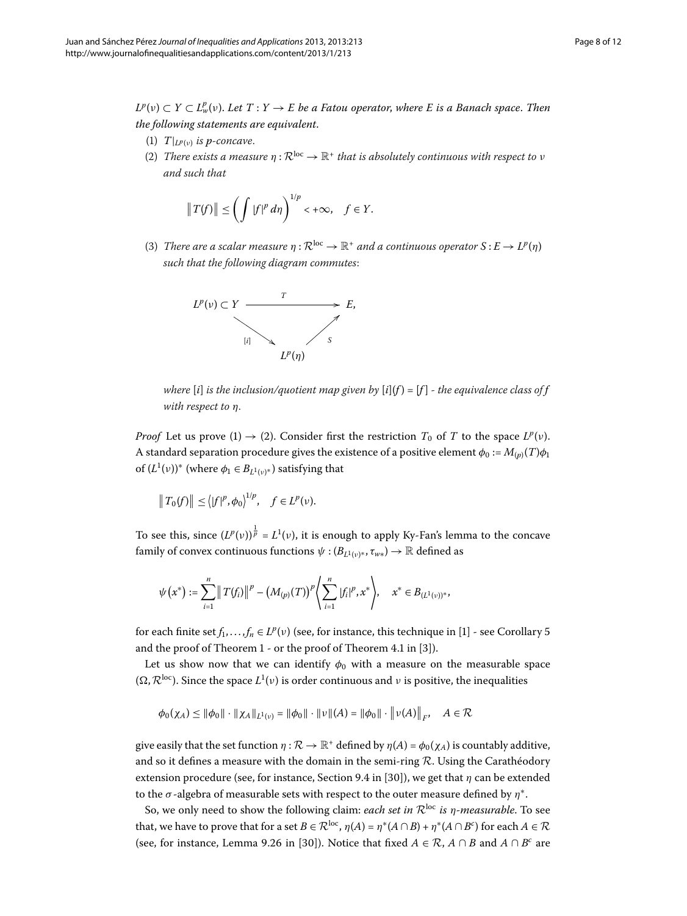$L^p(v) \subset Y \subset L^p_w(v)$ . Let  $T: Y \to E$  be a Fatou operator, where E is a Banach space. Then *the following statements are equivalent*.

- (1)  $T|_{L^p(v)}$  *is p-concave.*
- (2) *There exists a measure*  $\eta : \mathcal{R}^{loc} \to \mathbb{R}^+$  *that is absolutely continuous with respect to ν and such that*

$$
||T(f)|| \le \left(\int |f|^p d\eta\right)^{1/p} < +\infty, \quad f \in Y.
$$

(3) *There are a scalar measure*  $\eta : \mathbb{R}^{loc} \to \mathbb{R}^+$  *and a continuous operator*  $S : E \to L^p(\eta)$ *such that the following diagram commutes*:



*where*  $[i]$  *is the inclusion/quotient map given by*  $[i](f) = [f]$  *- the equivalence class of*  $f$ *with respect to η*.

*Proof* Let us prove  $(1) \rightarrow (2)$ . Consider first the restriction  $T_0$  of *T* to the space  $L^p(v)$ . A standard separation procedure gives the existence of a positive element  $\phi_0 := M_{(p)}(T)\phi_1$ of  $(L^1(v))^*$  (where  $\phi_1 \in B_{L^1(v)^*}$ ) satisfying that

$$
||T_0(f)|| \leq (|f|^p, \phi_0)^{1/p}, \quad f \in L^p(\nu).
$$

To see this, since  $(L^p(v))^{\frac{1}{p}} = L^1(v)$ , it is enough to apply Ky-Fan's lemma to the concave family of convex continuous functions  $\psi$  : ( $B_{L^1(v)*}, \tau_{w*}$ )  $\to \mathbb{R}$  defined as

$$
\psi(x^*) := \sum_{i=1}^n \|T(f_i)\|^p - (M_{(p)}(T))^p \left\langle \sum_{i=1}^n |f_i|^p, x^* \right\rangle, \quad x^* \in B_{(L^1(v))^*},
$$

for each finite set  $f_1, \ldots, f_n \in L^p(\nu)$  (see, for instance, this technique in [1[\]](#page-11-0) - see Corollary 5 and the proof of Theorem  $1$  - or the proof of Theorem 4.1 in [3[\]](#page-11-25)).

Let us show now that we can identify  $\phi_0$  with a measure on the measurable space  $(\Omega, \mathcal{R}^{\text{loc}})$ . Since the space  $L^1(v)$  is order continuous and  $v$  is positive, the inequalities

$$
\phi_0(\chi_A) \leq \|\phi_0\| \cdot \|\chi_A\|_{L^1(\nu)} = \|\phi_0\| \cdot \|\nu\|(A) = \|\phi_0\| \cdot \|\nu(A)\|_F, \quad A \in \mathcal{R}
$$

give easily that the set function  $\eta : \mathcal{R} \to \mathbb{R}^+$  defined by  $\eta(A) = \phi_0(\chi_A)$  is countably additive, and so it defines a measure with the domain in the semi-ring  $R$ . Using the Carathéodory extension procedure (see, for instance, Section 9.4 in [30]), we get that  $\eta$  can be extended to the *σ* -algebra of measurable sets with respect to the outer measure defined by *η*<sup>∗</sup>.

So, we only need to show the following claim: *each set in*  $\mathcal{R}^{\text{loc}}$  *is η-measurable*. To see that, we have to prove that for a set  $B \in \mathcal{R}^{\text{loc}}$ ,  $\eta(A) = \eta^*(A \cap B) + \eta^*(A \cap B^c)$  for each  $A \in \mathcal{R}$ (see, for instance, Lemma 9.26 in [30]). Notice that fixed  $A \in \mathcal{R}$ ,  $A \cap B$  and  $A \cap B^c$  are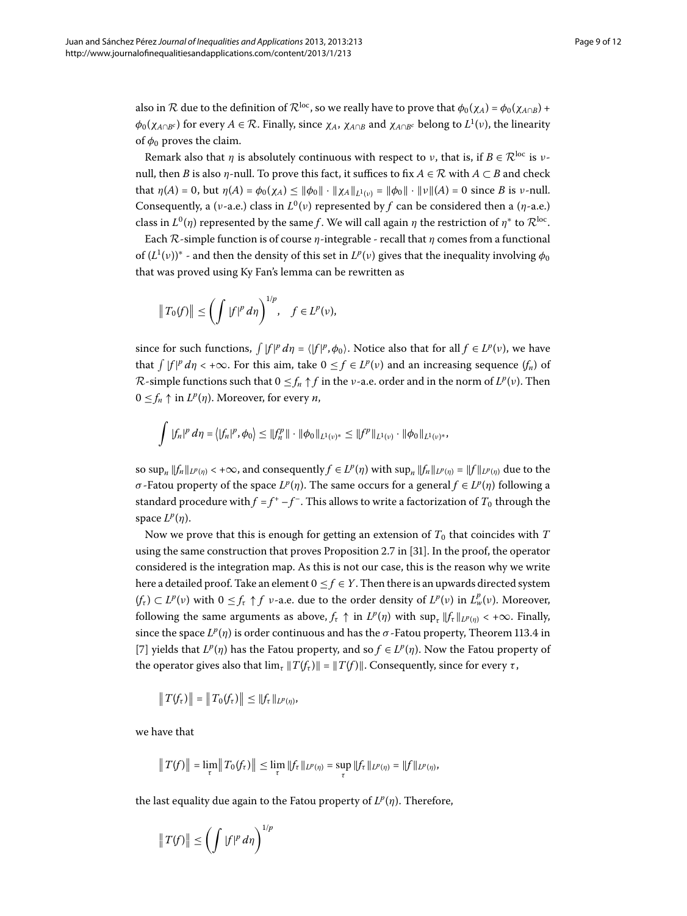also in R due to the definition of  $\mathcal{R}^{\text{loc}}$ , so we really have to prove that  $\phi_0(\chi_A) = \phi_0(\chi_{A \cap B}) +$  $φ_0(χ_{A∩Bc})$  for every  $A ∈ R$ . Finally, since  $χ_A$ ,  $χ_{A∩B}$  and  $χ_{A∩Bc}$  belong to  $L^1(ν)$ , the linearity of  $\phi_0$  proves the claim.

Remark also that *η* is absolutely continuous with respect to *ν*, that is, if  $B \in \mathcal{R}^{\text{loc}}$  is *ν*null, then *B* is also *η*-null. To prove this fact, it suffices to fix *A* ∈ R with *A* ⊂ *B* and check that  $\eta(A) = 0$ , but  $\eta(A) = \phi_0(\chi_A) \le ||\phi_0|| \cdot ||\chi_A||_{L^1(\nu)} = ||\phi_0|| \cdot ||\nu||(A) = 0$  since *B* is *v*-null. Consequently, a (*v*-a.e.) class in  $L^0(v)$  represented by f can be considered then a (*η*-a.e.) class in  $L^{0}(\eta)$  represented by the same *f*. We will call again *η* the restriction of  $\eta^*$  to  $\mathcal{R}^{\text{loc}}$ .

Each R-simple function is of course *η*-integrable - recall that *η* comes from a functional of  $(L^1(v))^*$  - and then the density of this set in  $L^p(v)$  gives that the inequality involving  $\phi_0$ that was proved using Ky Fan's lemma can be rewritten as

$$
\|T_0(f)\| \le \left(\int |f|^p d\eta\right)^{1/p}, \quad f \in L^p(\nu),
$$

since for such functions,  $\int |f|^p d\eta = \langle |f|^p, \phi_0 \rangle$ . Notice also that for all  $f \in L^p(\nu)$ , we have that  $\int |f|^p d\eta < +\infty$ . For this aim, take  $0 \le f \in L^p(\nu)$  and an increasing sequence  $(f_n)$  of  $\mathcal{R}$ -simple functions such that  $0 \leq f_n \uparrow f$  in the *v*-a.e. order and in the norm of  $L^p(\nu)$ . Then  $0 \leq f_n \uparrow$  in  $L^p(\eta)$ . Moreover, for every *n*,

$$
\int |f_n|^p \, d\eta = \left\langle |f_n|^p, \phi_0 \right\rangle \leq \|f_n^p\| \cdot \|\phi_0\|_{L^1(\nu)^*} \leq \|f^p\|_{L^1(\nu)} \cdot \|\phi_0\|_{L^1(\nu)^*},
$$

so  $\sup_{n}$   $||f_{n}||_{L^{p}(n)} < +\infty$ , and consequently  $f \in L^{p}(\eta)$  with  $\sup_{n}$   $||f_{n}||_{L^{p}(n)} = ||f||_{L^{p}(n)}$  due to the *σ* -Fatou property of the space *L<sup>p</sup>*(*η*). The same occurs for a general *f* ∈ *L<sup>p</sup>*(*η*) following a standard procedure with  $f = f^+ - f^-$ . This allows to write a factorization of  $T_0$  through the space  $L^p(\eta)$ .

Now we prove that this is enough for getting an extension of  $T_0$  that coincides with  $T$ using the same construction that proves Proposition 2.7 in [\[](#page-11-27)31]. In the proof, the operator considered is the integration map. As this is not our case, this is the reason why we write here a detailed proof. Take an element  $0 \le f \in Y$ . Then there is an upwards directed system  $(f_{\tau}) \subset L^p(\nu)$  with  $0 \leq f_{\tau} \uparrow f$  *v*-a.e. due to the order density of  $L^p(\nu)$  in  $L^p_w(\nu)$ . Moreover, following the same arguments as above,  $f_{\tau} \uparrow$  in  $L^p(\eta)$  with  $\sup_{\tau} ||f_{\tau}||_{L^p(\eta)} < +\infty$ . Finally, since the space  $L^p(\eta)$  is order continuous and has the  $\sigma$ -Fatou property, Theorem 113.4 in [7[\]](#page-11-4) yields that  $L^p(\eta)$  has the Fatou property, and so  $f \in L^p(\eta)$ . Now the Fatou property of the operator gives also that  $\lim_{\tau} ||T(f_{\tau})|| = ||T(f)||$ . Consequently, since for every *τ*,

$$
||T(f_{\tau})|| = ||T_0(f_{\tau})|| \le ||f_{\tau}||_{L^p(\eta)},
$$

we have that

$$
||T(f)|| = \lim_{\tau} ||T_0(f_{\tau})|| \leq \lim_{\tau} ||f_{\tau}||_{L^p(\eta)} = \sup_{\tau} ||f_{\tau}||_{L^p(\eta)} = ||f||_{L^p(\eta)},
$$

the last equality due again to the Fatou property of  $L^p(\eta)$ . Therefore,

$$
\|T(f)\| \le \left(\int |f|^p\,d\eta\right)^{1/p}
$$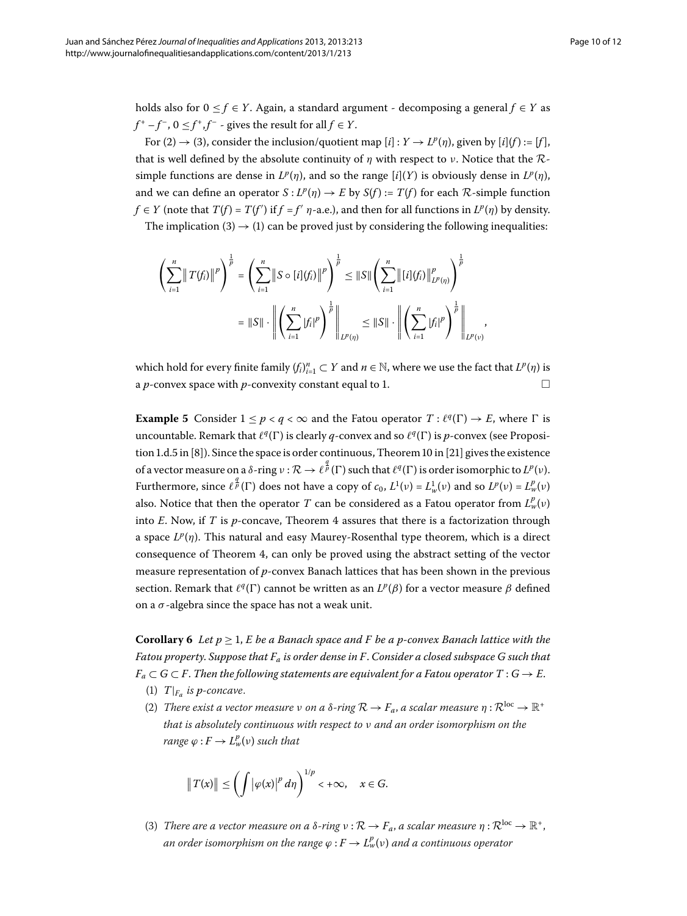holds also for  $0 \le f \in Y$ . Again, a standard argument - decomposing a general  $f \in Y$  as  $f^+ - f^-$ ,  $0 \le f^+$ ,  $f^-$  - gives the result for all  $f \in Y$ .

For (2)  $\rightarrow$  (3), consider the inclusion/quotient map  $[i]$  :  $Y \rightarrow L^p(\eta)$ , given by  $[i](f) := [f]$ , that is well defined by the absolute continuity of *η* with respect to *ν*. Notice that the Rsimple functions are dense in  $L^p(\eta)$ , and so the range  $[i](Y)$  is obviously dense in  $L^p(\eta)$ , and we can define an operator  $S: L^p(\eta) \to E$  by  $S(f) := T(f)$  for each  $\mathcal R$ -simple function *f*  $\in$  *Y* (note that *T*(*f*) = *T*(*f*<sup>'</sup>) if *f* = *f*<sup>'</sup> *η*-a.e.), and then for all functions in *L<sup>p</sup>*(*η*) by density.

The implication (3)  $\rightarrow$  (1) can be proved just by considering the following inequalities:

$$
\left(\sum_{i=1}^{n} \|T(f_{i})\|^{p}\right)^{\frac{1}{p}} = \left(\sum_{i=1}^{n} \|S \circ [i](f_{i})\|^{p}\right)^{\frac{1}{p}} \leq \|S\| \left(\sum_{i=1}^{n} \|[i](f_{i})\|_{L^{p}(\eta)}^{p}\right)^{\frac{1}{p}}
$$

$$
= \|S\| \cdot \left\| \left(\sum_{i=1}^{n} |f_{i}|^{p}\right)^{\frac{1}{p}} \right\|_{L^{p}(\eta)} \leq \|S\| \cdot \left\| \left(\sum_{i=1}^{n} |f_{i}|^{p}\right)^{\frac{1}{p}} \right\|_{L^{p}(v)}
$$

which hold for every finite family  $(f_i)_{i=1}^n \subset Y$  and  $n \in \mathbb{N}$ , where we use the fact that  $L^p(\eta)$  is a *p*-convex space with *p*-convexity constant equal to 1.  $\Box$ 

,

**Example 5** Consider  $1 \le p < q < \infty$  and the Fatou operator  $T : \ell^q(\Gamma) \to E$ , where  $\Gamma$  is uncountable. Remark that  $\ell^q(\Gamma)$  is clearly *q*-convex and so  $\ell^q(\Gamma)$  is *p*-convex (see Proposi-tion 1.d.5 in [8[\]](#page-11-16)). Since the space is order continuous, Theorem 10 in [21] gives the existence of a vector measure on a δ-ring *ν* :  $\mathcal{R}$  →  $\ell^{\frac{q}{p}}(\Gamma)$  such that  $\ell^q(\Gamma)$  is order isomorphic to  $L^p(\nu)$ . Furthermore, since  $\ell^{\frac{q}{p}}(\Gamma)$  does not have a copy of  $c_0$ ,  $L^1(v) = L^1_w(v)$  and so  $L^p(v) = L^p_w(v)$ also. Notice that then the operator  $T$  can be considered as a Fatou operator from  $L^p_w(\nu)$ into  $E$ . Now, if  $T$  is  $p$ -concave, Theorem  $4$  assures that there is a factorization through a space *L<sup>p</sup>*(*η*). This natural and easy Maurey-Rosenthal type theorem, which is a direct consequence of Theorem 4, can only be proved using the abstract setting of the vector measure representation of *p*-convex Banach lattices that has been shown in the previous section. Remark that  $l^q(\Gamma)$  cannot be written as an  $L^p(\beta)$  for a vector measure  $\beta$  defined on a *σ* -algebra since the space has not a weak unit.

<span id="page-9-0"></span>**Corollary 6** Let  $p \geq 1$ , E be a Banach space and F be a p-convex Banach lattice with the *Fatou property*. *Suppose that Fa is order dense in F*. *Consider a closed subspace G such that*  $F_a \subset G \subset F$ . Then the following statements are equivalent for a Fatou operator  $T: G \to E$ .

- (1)  $T|_{F_a}$  *is p-concave.*
- (2) *There exist a vector measure ν on a δ-ring*  $\mathcal{R}$  →  $F_a$ , *a scalar measure*  $η : \mathcal{R}^{loc} \to \mathbb{R}^+$ *that is absolutely continuous with respect to ν and an order isomorphism on the range*  $\varphi$  :  $F \to L^p_w(\nu)$  such that

$$
\|T(x)\| \le \left(\int |\varphi(x)|^p\,d\eta\right)^{1/p} < +\infty, \quad x \in G.
$$

(3) *There are a vector measure on a*  $\delta$ *-ring*  $v : \mathcal{R} \to F_a$ , *a scalar measure*  $\eta : \mathcal{R}^{loc} \to \mathbb{R}^+$ , *an order isomorphism on the range ϕ* : *F* → *L<sup>p</sup> <sup>w</sup>*(*ν*) *and a continuous operator*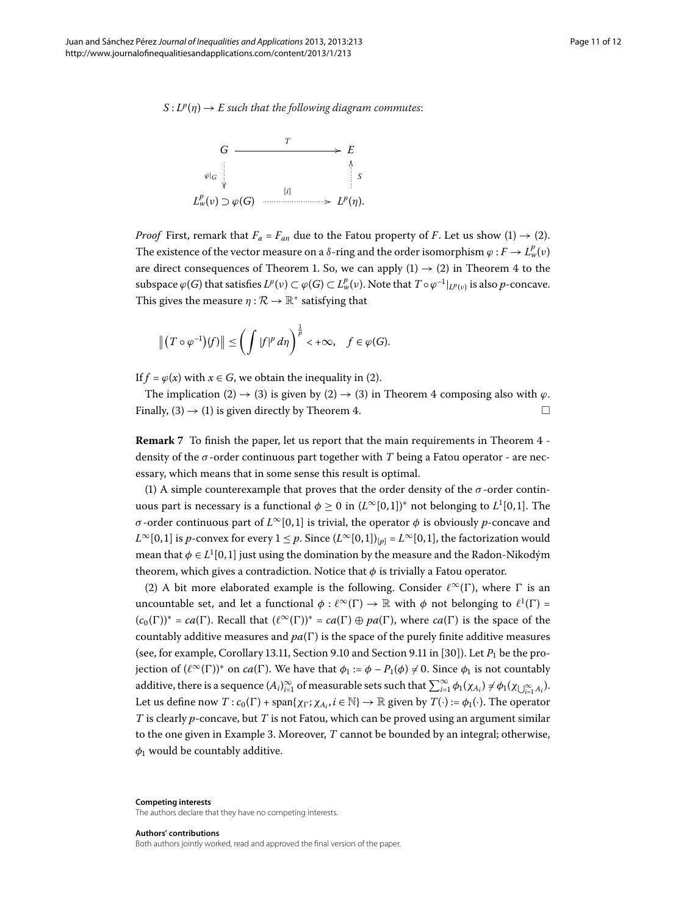$S: L^p(\eta) \to E$  *such that the following diagram commutes:* 



*Proof* First, remark that  $F_a = F_{an}$  due to the Fatou property of *F*. Let us show (1)  $\rightarrow$  (2). The existence of the vector measure on a  $\delta$ -ring and the order isomorphism  $\varphi: F \to L^p_{\nu}(\nu)$ are direct consequences of Theorem 1. So, we can apply  $(1) \rightarrow (2)$  in Theorem 4 to the subspace  $\varphi(G)$  that satisfies  $L^p(\nu)\subset \varphi(G)\subset L^p_w(\nu).$  Note that  $T\circ\varphi^{-1}|_{L^p(\nu)}$  is also  $p$ -concave. This gives the measure  $\eta : \mathcal{R} \to \mathbb{R}^+$  satisfying that

$$
\|(T\circ\varphi^{-1})(f)\| \le \left(\int |f|^p d\eta\right)^{\frac{1}{p}} < +\infty, \quad f \in \varphi(G).
$$

<span id="page-10-0"></span>If  $f = \varphi(x)$  with  $x \in G$ , we obtain the inequality in (2).

The implication (2)  $\rightarrow$  (3) is given by (2)  $\rightarrow$  (3) in Theorem 4 composing also with  $\varphi$ . Finally,  $(3) \rightarrow (1)$  is given directly by Theorem 4.

**Remark** 7 To finish the paper, let us report that the main requirements in Theorem 4 density of the *σ* -order continuous part together with *T* being a Fatou operator - are necessary, which means that in some sense this result is optimal.

(1) A simple counterexample that proves that the order density of the  $\sigma$ -order continuous part is necessary is a functional  $\phi \geq 0$  in  $(L^{\infty}[0,1])^*$  not belonging to  $L^1[0,1].$  The *σ* -order continuous part of  $L^{\infty}[0, 1]$  is trivial, the operator  $\phi$  is obviously *p*-concave and *L*<sup>∞</sup>[0,1] is *p*-convex for every  $1 \leq p$ . Since  $(L^∞[0, 1])_{[p]} = L^∞[0, 1]$ , the factorization would mean that  $\phi \in L^1[0,1]$  just using the domination by the measure and the Radon-Nikodým theorem, which gives a contradiction. Notice that  $\phi$  is trivially a Fatou operator.

(2) A bit more elaborated example is the following. Consider  $\ell^{\infty}(\Gamma)$ , where  $\Gamma$  is an uncountable set, and let a functional  $\phi : \ell^{\infty}(\Gamma) \to \mathbb{R}$  with  $\phi$  not belonging to  $\ell^{1}(\Gamma) =$  $(c_0(\Gamma))^* = ca(\Gamma)$ . Recall that  $(\ell^{\infty}(\Gamma))^* = ca(\Gamma) \oplus pa(\Gamma)$ , where  $ca(\Gamma)$  is the space of the countably additive measures and  $pa(\Gamma)$  is the space of the purely finite additive measures (see, for example, Corollary 13.11, Section 9.10 and Section 9.11 in [30]). Let  $P_1$  be the projection of  $(\ell^{\infty}(\Gamma))^*$  on *ca*( $\Gamma$ ). We have that  $\phi_1 := \phi - P_1(\phi) \neq 0$ . Since  $\phi_1$  is not countably additive, there is a sequence  $(A_i)_{i=1}^{\infty}$  of measurable sets such that  $\sum_{i=1}^{\infty}\phi_1(\chi_{A_i})\neq\phi_1(\chi_{\bigcup_{i=1}^{\infty}A_i}).$ Let us define now  $T: c_0(\Gamma) + \text{span}\{\chi_{\Gamma}; \chi_{A_i}, i \in \mathbb{N}\} \to \mathbb{R}$  given by  $T(\cdot) := \phi_1(\cdot)$ . The operator *T* is clearly *p*-concave, but *T* is not Fatou, which can be proved using an argument similar to the one given in Example 3[.](#page-6-2) Moreover, *T* cannot be bounded by an integral; otherwise,  $\phi_1$  would be countably additive.

**Competing interests**

The authors declare that they have no competing interests.

#### **Authors' contributions**

Both authors jointly worked, read and approved the final version of the paper.